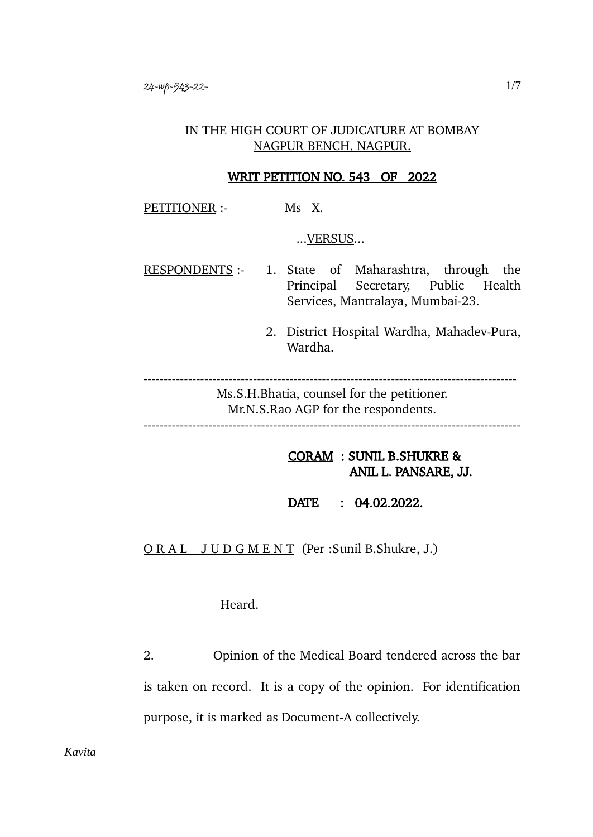### IN THE HIGH COURT OF JUDICATURE AT BOMBAY NAGPUR BENCH, NAGPUR.

#### WRIT PETITION NO. 543 OF 2022

PETITIONER :- Ms X.

...VERSUS...

RESPONDENTS :- 1. State of Maharashtra, through the Principal Secretary, Public Health Services, Mantralaya, Mumbai-23.

> 2. District Hospital Wardha, Mahadev-Pura, Wardha.

--------------------------------------------------------------------------------------------

Ms.S.H.Bhatia, counsel for the petitioner. Mr.N.S.Rao AGP for the respondents.

---------------------------------------------------------------------------------------------

# CORAM : SUNIL B.SHUKRE & ANIL L. PANSARE, JJ.

 $\overline{\text{DATE}}$  : 04.02.2022.

O R A L J U D G M E N T (Per :Sunil B.Shukre, J.)

Heard.

2. Opinion of the Medical Board tendered across the bar is taken on record. It is a copy of the opinion. For identification purpose, it is marked as Document-A collectively.

*Kavita*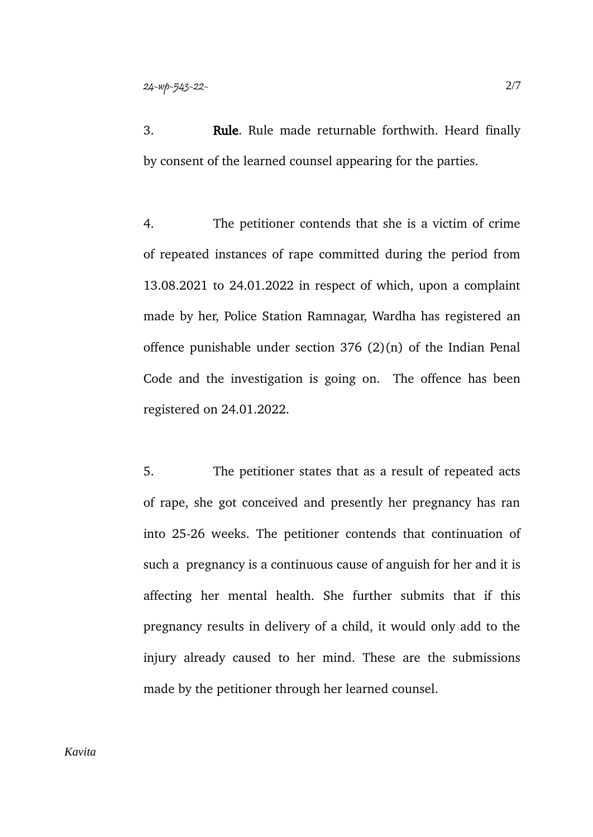3. Rule. Rule made returnable forthwith. Heard finally by consent of the learned counsel appearing for the parties.

4. The petitioner contends that she is a victim of crime of repeated instances of rape committed during the period from 13.08.2021 to 24.01.2022 in respect of which, upon a complaint made by her, Police Station Ramnagar, Wardha has registered an offence punishable under section 376 (2)(n) of the Indian Penal Code and the investigation is going on. The offence has been registered on 24.01.2022.

5. The petitioner states that as a result of repeated acts of rape, she got conceived and presently her pregnancy has ran into 25-26 weeks. The petitioner contends that continuation of such a pregnancy is a continuous cause of anguish for her and it is affecting her mental health. She further submits that if this pregnancy results in delivery of a child, it would only add to the injury already caused to her mind. These are the submissions made by the petitioner through her learned counsel.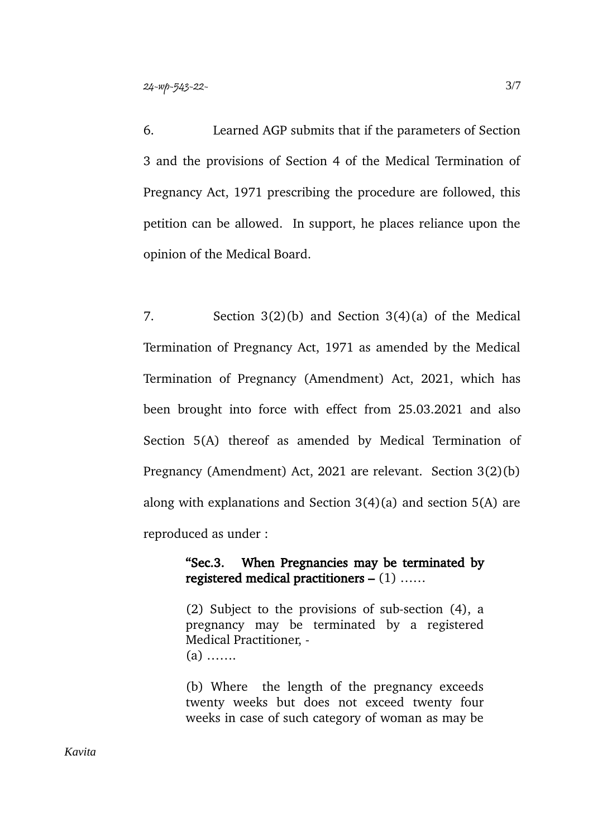6. Learned AGP submits that if the parameters of Section 3 and the provisions of Section 4 of the Medical Termination of Pregnancy Act, 1971 prescribing the procedure are followed, this petition can be allowed. In support, he places reliance upon the opinion of the Medical Board.

7. Section 3(2)(b) and Section 3(4)(a) of the Medical Termination of Pregnancy Act, 1971 as amended by the Medical Termination of Pregnancy (Amendment) Act, 2021, which has been brought into force with effect from 25.03.2021 and also Section 5(A) thereof as amended by Medical Termination of Pregnancy (Amendment) Act, 2021 are relevant. Section 3(2)(b) along with explanations and Section 3(4)(a) and section 5(A) are reproduced as under :

## "Sec.3. When Pregnancies may be terminated by registered medical practitioners  $- (1)$  .....

(2) Subject to the provisions of sub-section (4), a pregnancy may be terminated by a registered Medical Practitioner, - (a) …….

(b) Where the length of the pregnancy exceeds twenty weeks but does not exceed twenty four weeks in case of such category of woman as may be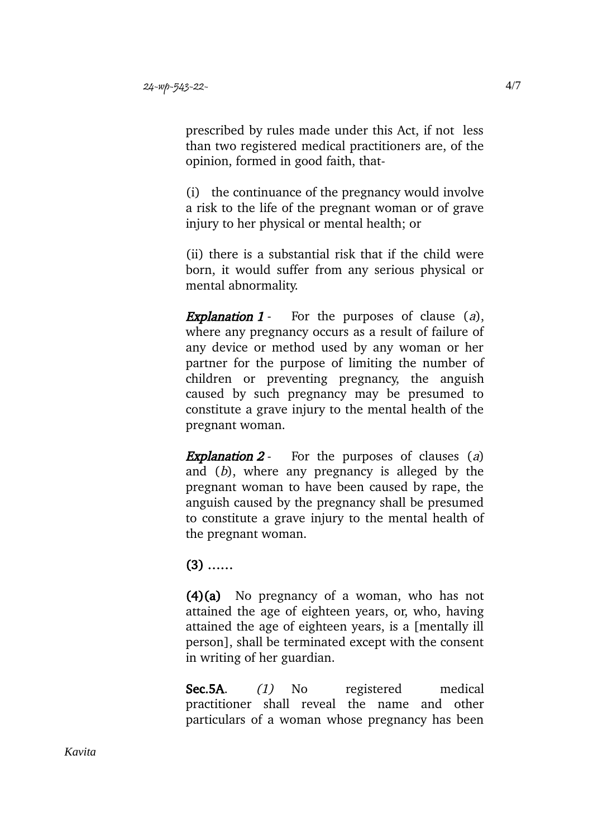prescribed by rules made under this Act, if not less than two registered medical practitioners are, of the opinion, formed in good faith, that-

(i) the continuance of the pregnancy would involve a risk to the life of the pregnant woman or of grave injury to her physical or mental health; or

(ii) there is a substantial risk that if the child were born, it would suffer from any serious physical or mental abnormality.

**Explanation 1** - For the purposes of clause  $(a)$ , where any pregnancy occurs as a result of failure of any device or method used by any woman or her partner for the purpose of limiting the number of children or preventing pregnancy, the anguish caused by such pregnancy may be presumed to constitute a grave injury to the mental health of the pregnant woman.

**Explanation 2** - For the purposes of clauses (a) and (b), where any pregnancy is alleged by the pregnant woman to have been caused by rape, the anguish caused by the pregnancy shall be presumed to constitute a grave injury to the mental health of the pregnant woman.

# (3) ……

(4)(a) No pregnancy of a woman, who has not attained the age of eighteen years, or, who, having attained the age of eighteen years, is a [mentally ill person], shall be terminated except with the consent in writing of her guardian.

Sec.5A. (1) No registered medical practitioner shall reveal the name and other particulars of a woman whose pregnancy has been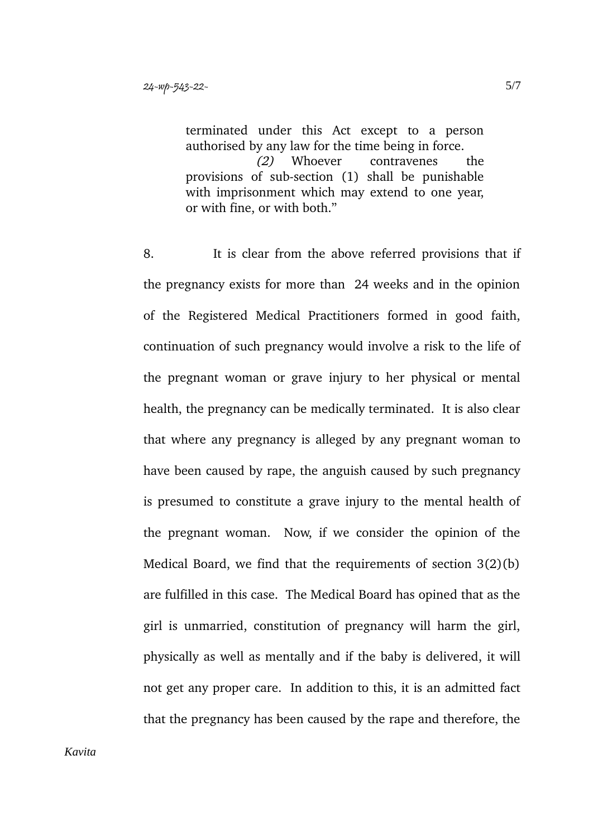terminated under this Act except to a person authorised by any law for the time being in force. (2) Whoever contravenes the provisions of sub-section (1) shall be punishable with imprisonment which may extend to one year, or with fine, or with both."

8. It is clear from the above referred provisions that if the pregnancy exists for more than 24 weeks and in the opinion of the Registered Medical Practitioners formed in good faith, continuation of such pregnancy would involve a risk to the life of the pregnant woman or grave injury to her physical or mental health, the pregnancy can be medically terminated. It is also clear that where any pregnancy is alleged by any pregnant woman to have been caused by rape, the anguish caused by such pregnancy is presumed to constitute a grave injury to the mental health of the pregnant woman. Now, if we consider the opinion of the Medical Board, we find that the requirements of section 3(2)(b) are fulfilled in this case. The Medical Board has opined that as the girl is unmarried, constitution of pregnancy will harm the girl, physically as well as mentally and if the baby is delivered, it will not get any proper care. In addition to this, it is an admitted fact that the pregnancy has been caused by the rape and therefore, the

*Kavita*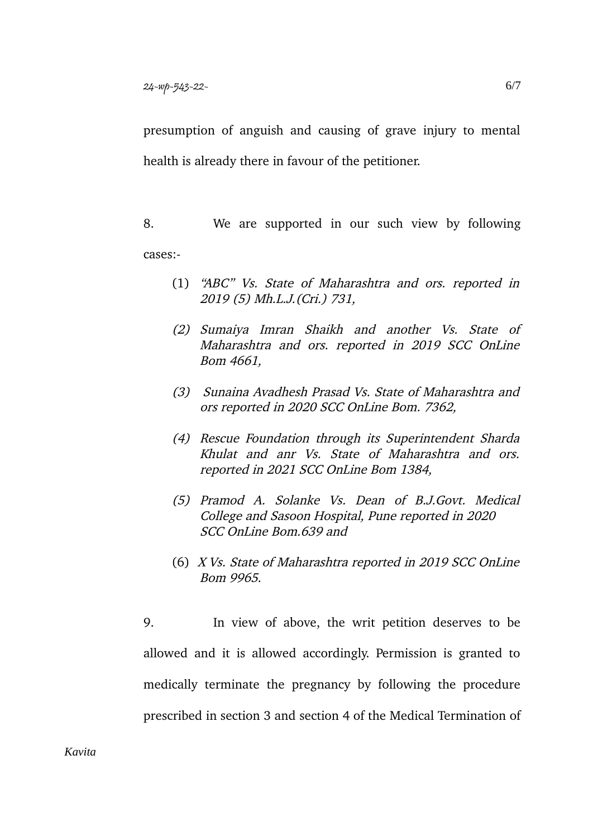presumption of anguish and causing of grave injury to mental health is already there in favour of the petitioner.

8. We are supported in our such view by following cases:-

- (1) "ABC" Vs. State of Maharashtra and ors. reported in 2019 (5) Mh.L.J.(Cri.) 731,
- (2) Sumaiya Imran Shaikh and another Vs. State of Maharashtra and ors. reported in 2019 SCC OnLine Bom 4661,
- (3) Sunaina Avadhesh Prasad Vs. State of Maharashtra and ors reported in 2020 SCC OnLine Bom. 7362,
- (4) Rescue Foundation through its Superintendent Sharda Khulat and anr Vs. State of Maharashtra and ors. reported in 2021 SCC OnLine Bom 1384,
- (5) Pramod A. Solanke Vs. Dean of B.J.Govt. Medical College and Sasoon Hospital, Pune reported in 2020 SCC OnLine Bom.639 and
- (6) X Vs. State of Maharashtra reported in 2019 SCC OnLine Bom 9965.

9. In view of above, the writ petition deserves to be allowed and it is allowed accordingly. Permission is granted to medically terminate the pregnancy by following the procedure prescribed in section 3 and section 4 of the Medical Termination of